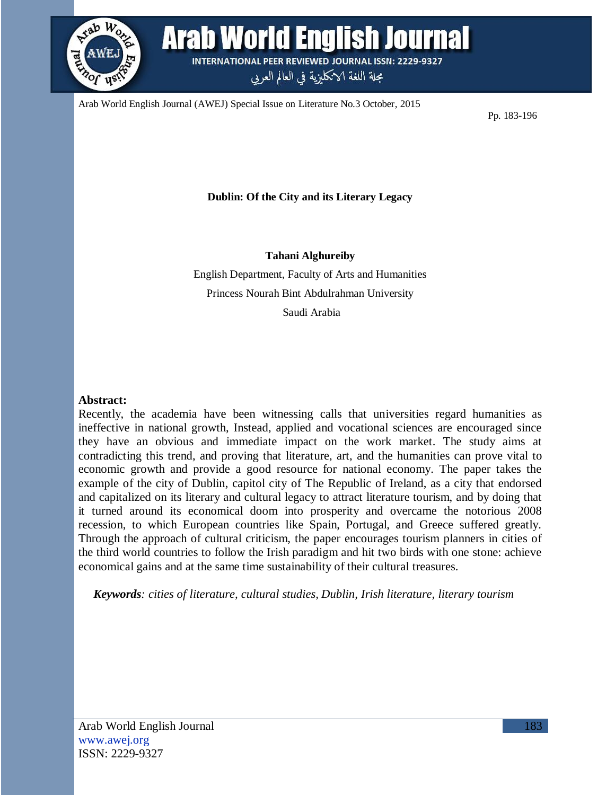

Arab World English Journal **INTERNATIONAL PEER REVIEWED JOURNAL ISSN: 2229-9327** 

مجلة اللغة الانكليزية في العالم العربي

Arab World English Journal (AWEJ) Special Issue on Literature No.3 October, 2015

Pp. 183-196

**Dublin: Of the City and its Literary Legacy**

**Tahani Alghureiby**

English Department, Faculty of Arts and Humanities Princess Nourah Bint Abdulrahman University Saudi Arabia

## **Abstract:**

Recently, the academia have been witnessing calls that universities regard humanities as ineffective in national growth, Instead, applied and vocational sciences are encouraged since they have an obvious and immediate impact on the work market. The study aims at contradicting this trend, and proving that literature, art, and the humanities can prove vital to economic growth and provide a good resource for national economy. The paper takes the example of the city of Dublin, capitol city of The Republic of Ireland, as a city that endorsed and capitalized on its literary and cultural legacy to attract literature tourism, and by doing that it turned around its economical doom into prosperity and overcame the notorious 2008 recession, to which European countries like Spain, Portugal, and Greece suffered greatly. Through the approach of cultural criticism, the paper encourages tourism planners in cities of the third world countries to follow the Irish paradigm and hit two birds with one stone: achieve economical gains and at the same time sustainability of their cultural treasures.

*Keywords: cities of literature, cultural studies, Dublin, Irish literature, literary tourism*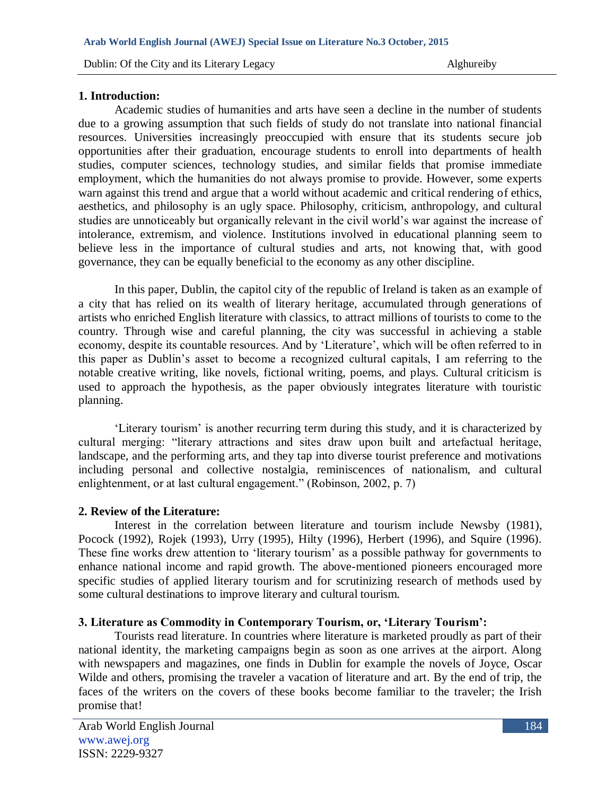## **1. Introduction:**

Academic studies of humanities and arts have seen a decline in the number of students due to a growing assumption that such fields of study do not translate into national financial resources. Universities increasingly preoccupied with ensure that its students secure job opportunities after their graduation, encourage students to enroll into departments of health studies, computer sciences, technology studies, and similar fields that promise immediate employment, which the humanities do not always promise to provide. However, some experts warn against this trend and argue that a world without academic and critical rendering of ethics, aesthetics, and philosophy is an ugly space. Philosophy, criticism, anthropology, and cultural studies are unnoticeably but organically relevant in the civil world"s war against the increase of intolerance, extremism, and violence. Institutions involved in educational planning seem to believe less in the importance of cultural studies and arts, not knowing that, with good governance, they can be equally beneficial to the economy as any other discipline.

In this paper, Dublin, the capitol city of the republic of Ireland is taken as an example of a city that has relied on its wealth of literary heritage, accumulated through generations of artists who enriched English literature with classics, to attract millions of tourists to come to the country. Through wise and careful planning, the city was successful in achieving a stable economy, despite its countable resources. And by "Literature", which will be often referred to in this paper as Dublin"s asset to become a recognized cultural capitals, I am referring to the notable creative writing, like novels, fictional writing, poems, and plays. Cultural criticism is used to approach the hypothesis, as the paper obviously integrates literature with touristic planning.

"Literary tourism" is another recurring term during this study, and it is characterized by cultural merging: "literary attractions and sites draw upon built and artefactual heritage, landscape, and the performing arts, and they tap into diverse tourist preference and motivations including personal and collective nostalgia, reminiscences of nationalism, and cultural enlightenment, or at last cultural engagement." (Robinson, 2002, p. 7)

# **2. Review of the Literature:**

Interest in the correlation between literature and tourism include Newsby (1981), Pocock (1992), Rojek (1993), Urry (1995), Hilty (1996), Herbert (1996), and Squire (1996). These fine works drew attention to "literary tourism" as a possible pathway for governments to enhance national income and rapid growth. The above-mentioned pioneers encouraged more specific studies of applied literary tourism and for scrutinizing research of methods used by some cultural destinations to improve literary and cultural tourism.

#### **3. Literature as Commodity in Contemporary Tourism, or, 'Literary Tourism':**

Tourists read literature. In countries where literature is marketed proudly as part of their national identity, the marketing campaigns begin as soon as one arrives at the airport. Along with newspapers and magazines, one finds in Dublin for example the novels of Joyce, Oscar Wilde and others, promising the traveler a vacation of literature and art. By the end of trip, the faces of the writers on the covers of these books become familiar to the traveler; the Irish promise that!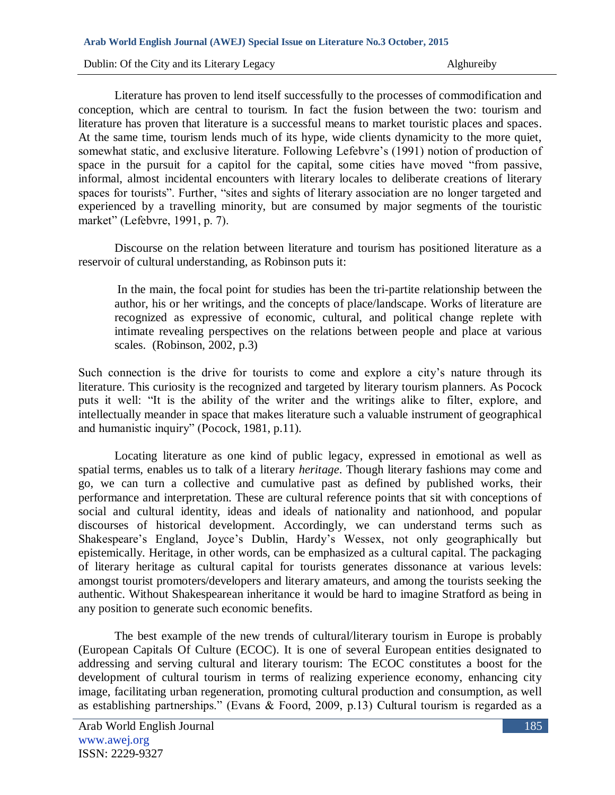Literature has proven to lend itself successfully to the processes of commodification and conception, which are central to tourism. In fact the fusion between the two: tourism and literature has proven that literature is a successful means to market touristic places and spaces. At the same time, tourism lends much of its hype, wide clients dynamicity to the more quiet, somewhat static, and exclusive literature. Following Lefebvre's (1991) notion of production of space in the pursuit for a capitol for the capital, some cities have moved "from passive, informal, almost incidental encounters with literary locales to deliberate creations of literary spaces for tourists". Further, "sites and sights of literary association are no longer targeted and experienced by a travelling minority, but are consumed by major segments of the touristic market" (Lefebvre, 1991, p. 7).

Discourse on the relation between literature and tourism has positioned literature as a reservoir of cultural understanding, as Robinson puts it:

In the main, the focal point for studies has been the tri-partite relationship between the author, his or her writings, and the concepts of place/landscape. Works of literature are recognized as expressive of economic, cultural, and political change replete with intimate revealing perspectives on the relations between people and place at various scales. (Robinson, 2002, p.3)

Such connection is the drive for tourists to come and explore a city"s nature through its literature. This curiosity is the recognized and targeted by literary tourism planners. As Pocock puts it well: "It is the ability of the writer and the writings alike to filter, explore, and intellectually meander in space that makes literature such a valuable instrument of geographical and humanistic inquiry" (Pocock, 1981, p.11).

Locating literature as one kind of public legacy, expressed in emotional as well as spatial terms, enables us to talk of a literary *heritage*. Though literary fashions may come and go, we can turn a collective and cumulative past as defined by published works, their performance and interpretation. These are cultural reference points that sit with conceptions of social and cultural identity, ideas and ideals of nationality and nationhood, and popular discourses of historical development. Accordingly, we can understand terms such as Shakespeare"s England, Joyce"s Dublin, Hardy"s Wessex, not only geographically but epistemically. Heritage, in other words, can be emphasized as a cultural capital. The packaging of literary heritage as cultural capital for tourists generates dissonance at various levels: amongst tourist promoters/developers and literary amateurs, and among the tourists seeking the authentic. Without Shakespearean inheritance it would be hard to imagine Stratford as being in any position to generate such economic benefits.

The best example of the new trends of cultural/literary tourism in Europe is probably (European Capitals Of Culture (ECOC). It is one of several European entities designated to addressing and serving cultural and literary tourism: The ECOC constitutes a boost for the development of cultural tourism in terms of realizing experience economy, enhancing city image, facilitating urban regeneration, promoting cultural production and consumption, as well as establishing partnerships." (Evans & Foord, 2009, p.13) Cultural tourism is regarded as a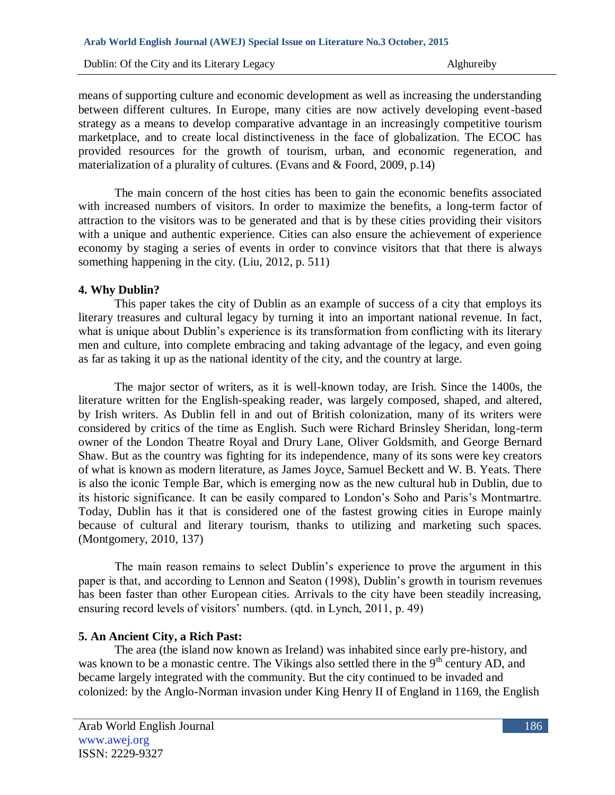means of supporting culture and economic development as well as increasing the understanding between different cultures. In Europe, many cities are now actively developing event-based strategy as a means to develop comparative advantage in an increasingly competitive tourism marketplace, and to create local distinctiveness in the face of globalization. The ECOC has provided resources for the growth of tourism, urban, and economic regeneration, and materialization of a plurality of cultures. (Evans and & Foord, 2009, p.14)

The main concern of the host cities has been to gain the economic benefits associated with increased numbers of visitors. In order to maximize the benefits, a long-term factor of attraction to the visitors was to be generated and that is by these cities providing their visitors with a unique and authentic experience. Cities can also ensure the achievement of experience economy by staging a series of events in order to convince visitors that that there is always something happening in the city. (Liu, 2012, p. 511)

#### **4. Why Dublin?**

This paper takes the city of Dublin as an example of success of a city that employs its literary treasures and cultural legacy by turning it into an important national revenue. In fact, what is unique about Dublin's experience is its transformation from conflicting with its literary men and culture, into complete embracing and taking advantage of the legacy, and even going as far as taking it up as the national identity of the city, and the country at large.

The major sector of writers, as it is well-known today, are Irish. Since the 1400s, the literature written for the English-speaking reader, was largely composed, shaped, and altered, by Irish writers. As Dublin fell in and out of British colonization, many of its writers were considered by critics of the time as English. Such were Richard Brinsley Sheridan, long-term owner of the London Theatre Royal and Drury Lane, Oliver Goldsmith, and George Bernard Shaw. But as the country was fighting for its independence, many of its sons were key creators of what is known as modern literature, as James Joyce, Samuel Beckett and W. B. Yeats. There is also the iconic Temple Bar, which is emerging now as the new cultural hub in Dublin, due to its historic significance. It can be easily compared to London"s Soho and Paris"s Montmartre. Today, Dublin has it that is considered one of the fastest growing cities in Europe mainly because of cultural and literary tourism, thanks to utilizing and marketing such spaces. (Montgomery, 2010, 137)

The main reason remains to select Dublin"s experience to prove the argument in this paper is that, and according to Lennon and Seaton (1998), Dublin"s growth in tourism revenues has been faster than other European cities. Arrivals to the city have been steadily increasing, ensuring record levels of visitors' numbers. (qtd. in Lynch, 2011, p. 49)

#### **5. An Ancient City, a Rich Past:**

The area (the island now known as Ireland) was inhabited since early pre-history, and was known to be a monastic centre. The Vikings also settled there in the 9<sup>th</sup> century AD, and became largely integrated with the community. But the city continued to be invaded and colonized: by the Anglo-Norman invasion under King Henry II of England in 1169, the English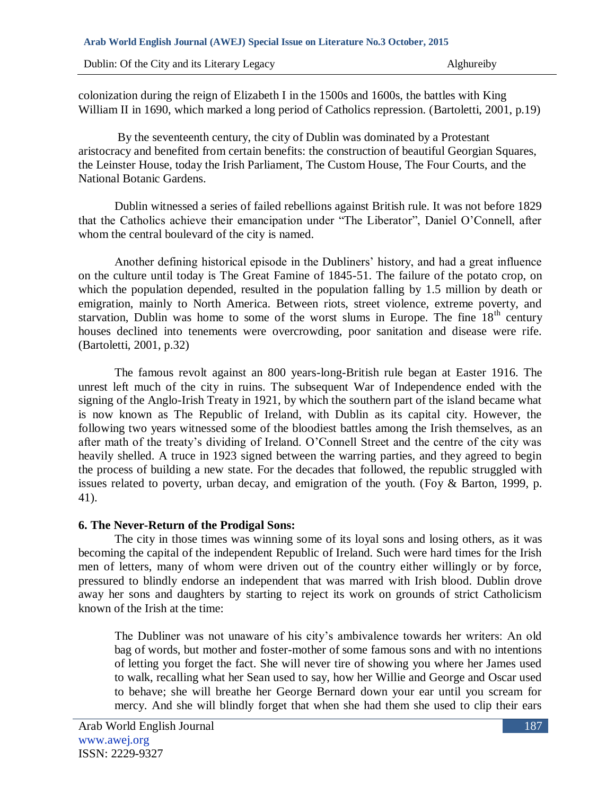colonization during the reign of Elizabeth I in the 1500s and 1600s, the battles with King William II in 1690, which marked a long period of Catholics repression. (Bartoletti, 2001, p.19)

By the seventeenth century, the city of Dublin was dominated by a Protestant aristocracy and benefited from certain benefits: the construction of beautiful Georgian Squares, the Leinster House, today the Irish Parliament, The Custom House, The Four Courts, and the National Botanic Gardens.

Dublin witnessed a series of failed rebellions against British rule. It was not before 1829 that the Catholics achieve their emancipation under "The Liberator", Daniel O"Connell, after whom the central boulevard of the city is named.

Another defining historical episode in the Dubliners" history, and had a great influence on the culture until today is The Great Famine of 1845-51. The failure of the potato crop, on which the population depended, resulted in the population falling by 1.5 million by death or emigration, mainly to North America. Between riots, street violence, extreme poverty, and starvation, Dublin was home to some of the worst slums in Europe. The fine 18<sup>th</sup> century houses declined into tenements were overcrowding, poor sanitation and disease were rife. (Bartoletti, 2001, p.32)

The famous revolt against an 800 years-long-British rule began at Easter 1916. The unrest left much of the city in ruins. The subsequent War of Independence ended with the signing of the Anglo-Irish Treaty in 1921, by which the southern part of the island became what is now known as The Republic of Ireland, with Dublin as its capital city. However, the following two years witnessed some of the bloodiest battles among the Irish themselves, as an after math of the treaty"s dividing of Ireland. O"Connell Street and the centre of the city was heavily shelled. A truce in 1923 signed between the warring parties, and they agreed to begin the process of building a new state. For the decades that followed, the republic struggled with issues related to poverty, urban decay, and emigration of the youth. (Foy & Barton, 1999, p. 41).

# **6. The Never-Return of the Prodigal Sons:**

The city in those times was winning some of its loyal sons and losing others, as it was becoming the capital of the independent Republic of Ireland. Such were hard times for the Irish men of letters, many of whom were driven out of the country either willingly or by force, pressured to blindly endorse an independent that was marred with Irish blood. Dublin drove away her sons and daughters by starting to reject its work on grounds of strict Catholicism known of the Irish at the time:

The Dubliner was not unaware of his city"s ambivalence towards her writers: An old bag of words, but mother and foster-mother of some famous sons and with no intentions of letting you forget the fact. She will never tire of showing you where her James used to walk, recalling what her Sean used to say, how her Willie and George and Oscar used to behave; she will breathe her George Bernard down your ear until you scream for mercy. And she will blindly forget that when she had them she used to clip their ears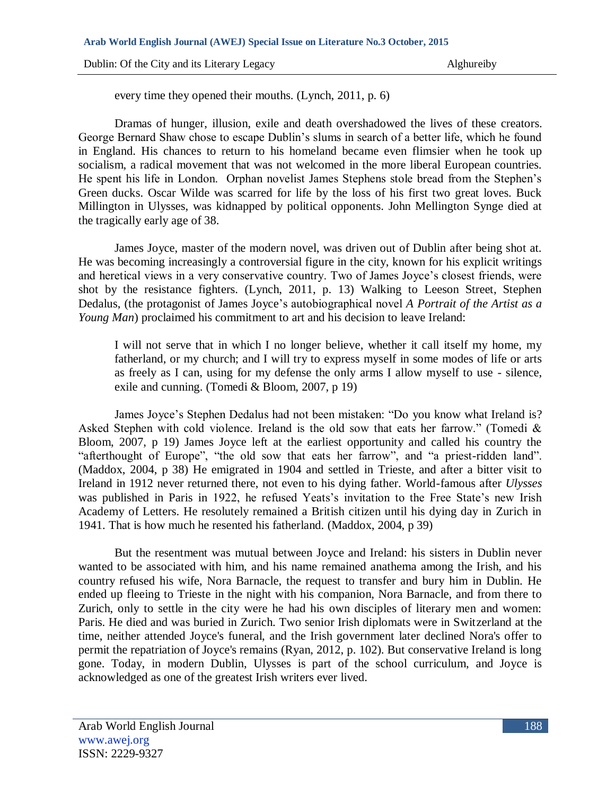every time they opened their mouths. (Lynch, 2011, p. 6)

Dramas of hunger, illusion, exile and death overshadowed the lives of these creators. George Bernard Shaw chose to escape Dublin"s slums in search of a better life, which he found in England. His chances to return to his homeland became even flimsier when he took up socialism, a radical movement that was not welcomed in the more liberal European countries. He spent his life in London. Orphan novelist James Stephens stole bread from the Stephen"s Green ducks. Oscar Wilde was scarred for life by the loss of his first two great loves. Buck Millington in Ulysses, was kidnapped by political opponents. John Mellington Synge died at the tragically early age of 38.

James Joyce, master of the modern novel, was driven out of Dublin after being shot at. He was becoming increasingly a controversial figure in the city, known for his explicit writings and heretical views in a very conservative country. Two of James Joyce"s closest friends, were shot by the resistance fighters. (Lynch, 2011, p. 13) Walking to Leeson Street, Stephen Dedalus, (the [protagonist](http://www.britannica.com/EBchecked/topic/479579/protagonist) of [James Joyce"](http://www.britannica.com/EBchecked/topic/306875/James-Joyce)s autobiographical novel *[A Portrait of the Artist as a](http://www.britannica.com/EBchecked/topic/471360/A-Portrait-of-the-Artist-as-a-Young-Man)  [Young Man](http://www.britannica.com/EBchecked/topic/471360/A-Portrait-of-the-Artist-as-a-Young-Man)*) proclaimed his commitment to art and his decision to leave Ireland:

I will not serve that in which I no longer believe, whether it call itself my home, my fatherland, or my church; and I will try to express myself in some modes of life or arts as freely as I can, using for my defense the only arms I allow myself to use - silence, exile and cunning. (Tomedi & Bloom, 2007, p 19)

James Joyce"s Stephen Dedalus had not been mistaken: "Do you know what Ireland is? Asked Stephen with cold violence. Ireland is the old sow that eats her farrow." (Tomedi & Bloom, 2007, p 19) James Joyce left at the earliest opportunity and called his country the "afterthought of Europe", "the old sow that eats her farrow", and "a priest-ridden land". (Maddox, 2004, p 38) He emigrated in 1904 and settled in Trieste, and after a bitter visit to Ireland in 1912 never returned there, not even to his dying father. World-famous after *Ulysses*  was published in Paris in 1922, he refused Yeats's invitation to the Free State's new Irish Academy of Letters. He resolutely remained a British citizen until his dying day in Zurich in 1941. That is how much he resented his fatherland. (Maddox, 2004, p 39)

But the resentment was mutual between Joyce and Ireland: his sisters in Dublin never wanted to be associated with him, and his name remained anathema among the Irish, and his country refused his wife, Nora Barnacle, the request to transfer and bury him in Dublin. He ended up fleeing to Trieste in the night with his companion, Nora Barnacle, and from there to Zurich, only to settle in the city were he had his own disciples of literary men and women: Paris. He died and was buried in Zurich. Two senior Irish diplomats were in Switzerland at the time, neither attended Joyce's funeral, and the Irish government later declined Nora's offer to permit the repatriation of Joyce's remains (Ryan, 2012, p. 102). But conservative Ireland is long gone. Today, in modern Dublin, Ulysses is part of the school curriculum, and Joyce is acknowledged as one of the greatest Irish writers ever lived.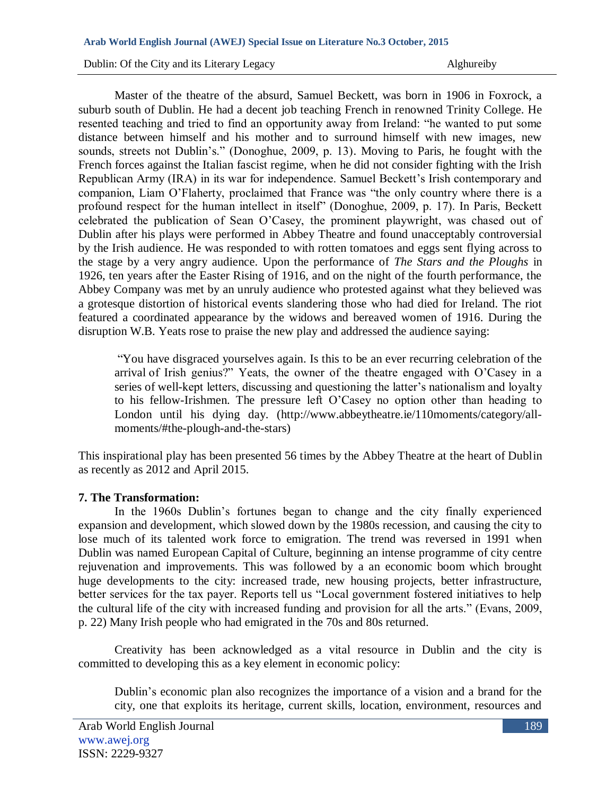Master of the theatre of the absurd, Samuel Beckett, was born in 1906 in Foxrock, a suburb south of Dublin. He had a decent job teaching French in renowned Trinity College. He resented teaching and tried to find an opportunity away from Ireland: "he wanted to put some distance between himself and his mother and to surround himself with new images, new sounds, streets not Dublin's." (Donoghue, 2009, p. 13). Moving to Paris, he fought with the French forces against the Italian fascist regime, when he did not consider fighting with the Irish Republican Army (IRA) in its war for independence. Samuel Beckett's Irish contemporary and companion, Liam O"Flaherty, proclaimed that France was "the only country where there is a profound respect for the human intellect in itself" (Donoghue, 2009, p. 17). In Paris, Beckett celebrated the publication of Sean O"Casey, the prominent playwright, was chased out of Dublin after his plays were performed in Abbey Theatre and found unacceptably controversial by the Irish audience. He was responded to with rotten tomatoes and eggs sent flying across to the stage by a very angry audience. Upon the performance of *The Stars and the Ploughs* in 1926, ten years after the Easter Rising of 1916, and on the night of the fourth performance, the Abbey Company was met by an unruly audience who protested against what they believed was a grotesque distortion of historical events slandering those who had died for Ireland. The riot featured a coordinated appearance by the widows and bereaved women of 1916. During the disruption W.B. Yeats rose to praise the new play and addressed the audience saying:

"You have disgraced yourselves again. Is this to be an ever recurring celebration of the arrival of Irish genius?" Yeats, the owner of the theatre engaged with O"Casey in a series of well-kept letters, discussing and questioning the latter's nationalism and loyalty to his fellow-Irishmen. The pressure left O"Casey no option other than heading to London until his dying day. (http://www.abbeytheatre.ie/110moments/category/allmoments/#the-plough-and-the-stars)

This inspirational play has been presented 56 times by the Abbey Theatre at the heart of Dublin as recently as 2012 and April 2015.

# **7. The Transformation:**

In the 1960s Dublin"s fortunes began to change and the city finally experienced expansion and development, which slowed down by the 1980s recession, and causing the city to lose much of its talented work force to emigration. The trend was reversed in 1991 when Dublin was named European Capital of Culture, beginning an intense programme of city centre rejuvenation and improvements. This was followed by a an economic boom which brought huge developments to the city: increased trade, new housing projects, better infrastructure, better services for the tax payer. Reports tell us "Local government fostered initiatives to help the cultural life of the city with increased funding and provision for all the arts." (Evans, 2009, p. 22) Many Irish people who had emigrated in the 70s and 80s returned.

Creativity has been acknowledged as a vital resource in Dublin and the city is committed to developing this as a key element in economic policy:

Dublin"s economic plan also recognizes the importance of a vision and a brand for the city, one that exploits its heritage, current skills, location, environment, resources and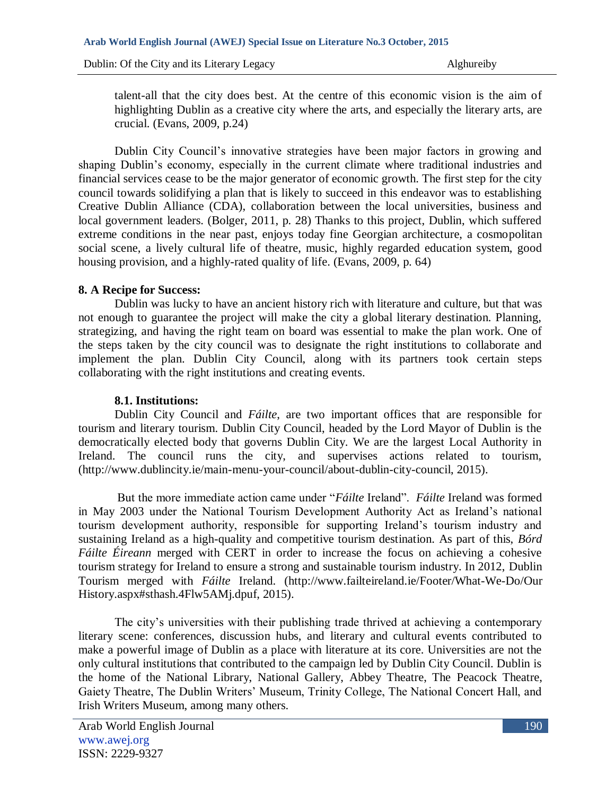talent-all that the city does best. At the centre of this economic vision is the aim of highlighting Dublin as a creative city where the arts, and especially the literary arts, are crucial. (Evans, 2009, p.24)

Dublin City Council"s innovative strategies have been major factors in growing and shaping Dublin's economy, especially in the current climate where traditional industries and financial services cease to be the major generator of economic growth. The first step for the city council towards solidifying a plan that is likely to succeed in this endeavor was to establishing Creative Dublin Alliance (CDA), collaboration between the local universities, business and local government leaders. (Bolger, 2011, p. 28) Thanks to this project, Dublin, which suffered extreme conditions in the near past, enjoys today fine Georgian architecture, a cosmopolitan social scene, a lively cultural life of theatre, music, highly regarded education system, good housing provision, and a highly-rated quality of life. (Evans, 2009, p. 64)

# **8. A Recipe for Success:**

Dublin was lucky to have an ancient history rich with literature and culture, but that was not enough to guarantee the project will make the city a global literary destination. Planning, strategizing, and having the right team on board was essential to make the plan work. One of the steps taken by the city council was to designate the right institutions to collaborate and implement the plan. Dublin City Council, along with its partners took certain steps collaborating with the right institutions and creating events.

## **8.1. Institutions:**

Dublin City Council and *Fáilte*, are two important offices that are responsible for tourism and literary tourism. Dublin City Council, headed by the Lord Mayor of Dublin is the democratically elected body that governs Dublin City. We are the largest Local Authority in Ireland. The council runs the city, and supervises actions related to tourism, (http://www.dublincity.ie/main-menu-your-council/about-dublin-city-council, 2015).

But the more immediate action came under "*Fáilte* Ireland". *Fáilte* Ireland was formed in May 2003 under the National Tourism Development Authority Act as Ireland"s national tourism development authority, responsible for supporting Ireland"s tourism industry and sustaining Ireland as a high-quality and competitive tourism destination. As part of this, *Bórd Fáilte Éireann* merged with CERT in order to increase the focus on achieving a cohesive tourism strategy for Ireland to ensure a strong and sustainable tourism industry. In 2012, Dublin Tourism merged with *Fáilte* Ireland. (http://www.failteireland.ie/Footer/What-We-Do/Our History.aspx#sthash.4Flw5AMj.dpuf, 2015).

The city's universities with their publishing trade thrived at achieving a contemporary literary scene: conferences, discussion hubs, and literary and cultural events contributed to make a powerful image of Dublin as a place with literature at its core. Universities are not the only cultural institutions that contributed to the campaign led by Dublin City Council. Dublin is the home of the National Library, National Gallery, Abbey Theatre, The Peacock Theatre, Gaiety Theatre, The Dublin Writers" Museum, Trinity College, The National Concert Hall, and Irish Writers Museum, among many others.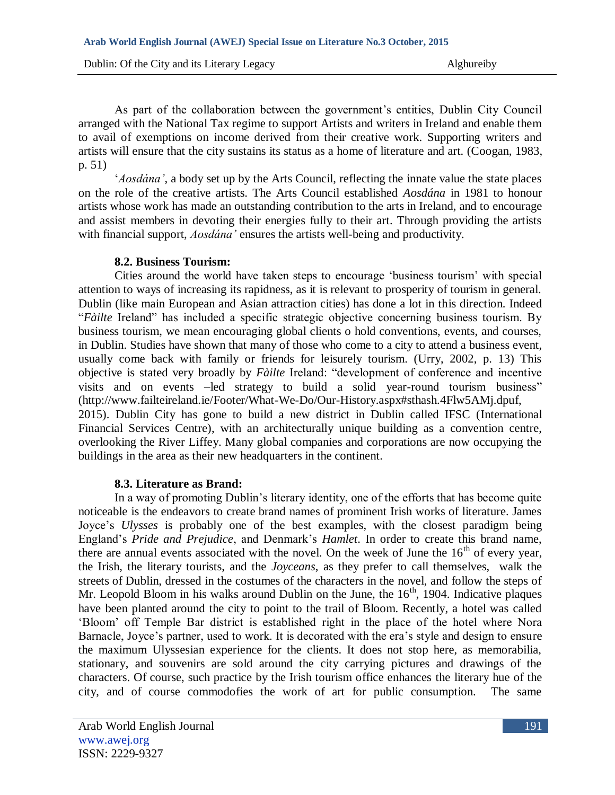**Arab World English Journal (AWEJ) Special Issue on Literature No.3 October, 2015** 

Dublin: Of the City and its Literary Legacy Alghureiby Alghureiby

As part of the collaboration between the government's entities, Dublin City Council arranged with the National Tax regime to support Artists and writers in Ireland and enable them to avail of exemptions on income derived from their creative work. Supporting writers and artists will ensure that the city sustains its status as a home of literature and art. (Coogan, 1983, p. 51)

"*Aosdána'*, a body set up by the Arts Council, reflecting the innate value the state places on the role of the creative artists. The Arts Council established *Aosdána* in 1981 to honour artists whose work has made an outstanding contribution to the arts in Ireland, and to encourage and assist members in devoting their energies fully to their art. Through providing the artists with financial support, *Aosdána'* ensures the artists well-being and productivity.

### **8.2. Business Tourism:**

Cities around the world have taken steps to encourage "business tourism" with special attention to ways of increasing its rapidness, as it is relevant to prosperity of tourism in general. Dublin (like main European and Asian attraction cities) has done a lot in this direction. Indeed "*Fàilte* Ireland" has included a specific strategic objective concerning business tourism. By business tourism, we mean encouraging global clients o hold conventions, events, and courses, in Dublin. Studies have shown that many of those who come to a city to attend a business event, usually come back with family or friends for leisurely tourism. (Urry, 2002, p. 13) This objective is stated very broadly by *Fàilte* Ireland: "development of conference and incentive visits and on events –led strategy to build a solid year-round tourism business" (http://www.failteireland.ie/Footer/What-We-Do/Our-History.aspx#sthash.4Flw5AMj.dpuf, 2015). Dublin City has gone to build a new district in Dublin called IFSC (International Financial Services Centre), with an architecturally unique building as a convention centre, overlooking the River Liffey. Many global companies and corporations are now occupying the buildings in the area as their new headquarters in the continent.

#### **8.3. Literature as Brand:**

In a way of promoting Dublin"s literary identity, one of the efforts that has become quite noticeable is the endeavors to create brand names of prominent Irish works of literature. James Joyce"s *Ulysses* is probably one of the best examples, with the closest paradigm being England"s *Pride and Prejudice*, and Denmark"s *Hamlet*. In order to create this brand name, there are annual events associated with the novel. On the week of June the  $16<sup>th</sup>$  of every year, the Irish, the literary tourists, and the *Joyceans*, as they prefer to call themselves, walk the streets of Dublin, dressed in the costumes of the characters in the novel, and follow the steps of Mr. Leopold Bloom in his walks around Dublin on the June, the  $16<sup>th</sup>$ , 1904. Indicative plaques have been planted around the city to point to the trail of Bloom. Recently, a hotel was called "Bloom" off Temple Bar district is established right in the place of the hotel where Nora Barnacle, Joyce's partner, used to work. It is decorated with the era's style and design to ensure the maximum Ulyssesian experience for the clients. It does not stop here, as memorabilia, stationary, and souvenirs are sold around the city carrying pictures and drawings of the characters. Of course, such practice by the Irish tourism office enhances the literary hue of the city, and of course commodofies the work of art for public consumption. The same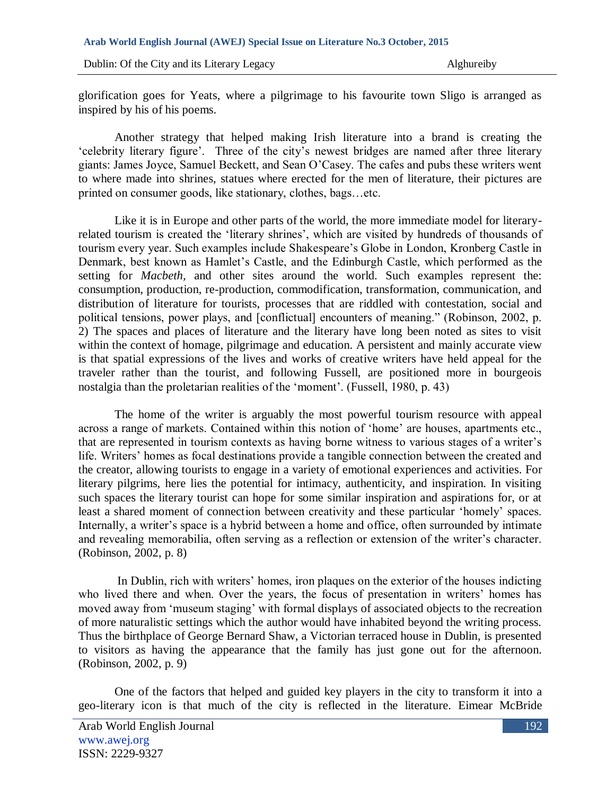glorification goes for Yeats, where a pilgrimage to his favourite town Sligo is arranged as inspired by his of his poems.

Another strategy that helped making Irish literature into a brand is creating the "celebrity literary figure". Three of the city"s newest bridges are named after three literary giants: James Joyce, Samuel Beckett, and Sean O"Casey. The cafes and pubs these writers went to where made into shrines, statues where erected for the men of literature, their pictures are printed on consumer goods, like stationary, clothes, bags…etc.

Like it is in Europe and other parts of the world, the more immediate model for literaryrelated tourism is created the 'literary shrines', which are visited by hundreds of thousands of tourism every year. Such examples include Shakespeare"s Globe in London, Kronberg Castle in Denmark, best known as Hamlet"s Castle, and the Edinburgh Castle, which performed as the setting for *Macbeth,* and other sites around the world. Such examples represent the: consumption, production, re-production, commodification, transformation, communication, and distribution of literature for tourists, processes that are riddled with contestation, social and political tensions, power plays, and [conflictual] encounters of meaning." (Robinson, 2002, p. 2) The spaces and places of literature and the literary have long been noted as sites to visit within the context of homage, pilgrimage and education. A persistent and mainly accurate view is that spatial expressions of the lives and works of creative writers have held appeal for the traveler rather than the tourist, and following Fussell, are positioned more in bourgeois nostalgia than the proletarian realities of the "moment". (Fussell, 1980, p. 43)

The home of the writer is arguably the most powerful tourism resource with appeal across a range of markets. Contained within this notion of 'home' are houses, apartments etc., that are represented in tourism contexts as having borne witness to various stages of a writer's life. Writers' homes as focal destinations provide a tangible connection between the created and the creator, allowing tourists to engage in a variety of emotional experiences and activities. For literary pilgrims, here lies the potential for intimacy, authenticity, and inspiration. In visiting such spaces the literary tourist can hope for some similar inspiration and aspirations for, or at least a shared moment of connection between creativity and these particular "homely" spaces. Internally, a writer's space is a hybrid between a home and office, often surrounded by intimate and revealing memorabilia, often serving as a reflection or extension of the writer's character. (Robinson, 2002, p. 8)

In Dublin, rich with writers" homes, iron plaques on the exterior of the houses indicting who lived there and when. Over the years, the focus of presentation in writers' homes has moved away from "museum staging" with formal displays of associated objects to the recreation of more naturalistic settings which the author would have inhabited beyond the writing process. Thus the birthplace of George Bernard Shaw, a Victorian terraced house in Dublin, is presented to visitors as having the appearance that the family has just gone out for the afternoon. (Robinson, 2002, p. 9)

One of the factors that helped and guided key players in the city to transform it into a geo-literary icon is that much of the city is reflected in the literature. Eimear McBride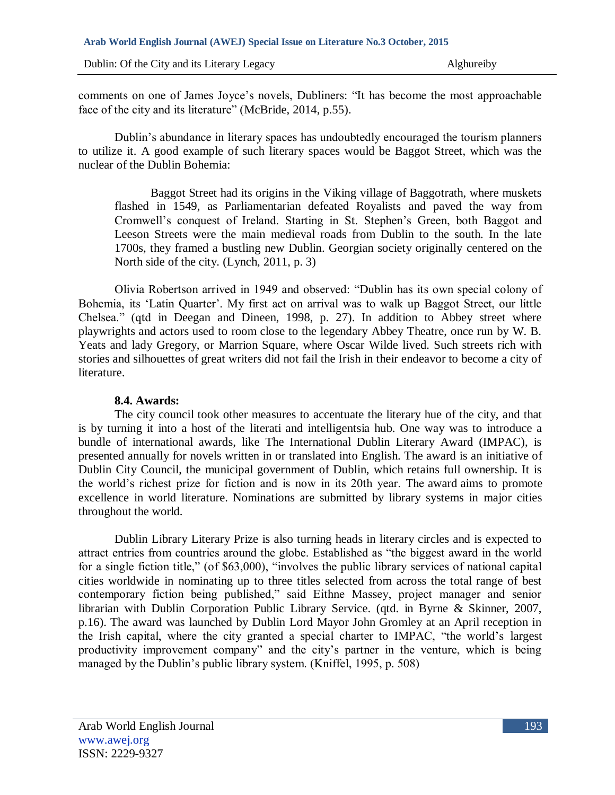comments on one of James Joyce"s novels, Dubliners: "It has become the most approachable face of the city and its literature" (McBride, 2014, p.55).

Dublin"s abundance in literary spaces has undoubtedly encouraged the tourism planners to utilize it. A good example of such literary spaces would be Baggot Street, which was the nuclear of the Dublin Bohemia:

Baggot Street had its origins in the Viking village of Baggotrath, where muskets flashed in 1549, as Parliamentarian defeated Royalists and paved the way from Cromwell"s conquest of Ireland. Starting in St. Stephen"s Green, both Baggot and Leeson Streets were the main medieval roads from Dublin to the south. In the late 1700s, they framed a bustling new Dublin. Georgian society originally centered on the North side of the city. (Lynch, 2011, p. 3)

Olivia Robertson arrived in 1949 and observed: "Dublin has its own special colony of Bohemia, its "Latin Quarter". My first act on arrival was to walk up Baggot Street, our little Chelsea." (qtd in Deegan and Dineen, 1998, p. 27). In addition to Abbey street where playwrights and actors used to room close to the legendary Abbey Theatre, once run by W. B. Yeats and lady Gregory, or Marrion Square, where Oscar Wilde lived. Such streets rich with stories and silhouettes of great writers did not fail the Irish in their endeavor to become a city of literature.

#### **8.4. Awards:**

The city council took other measures to accentuate the literary hue of the city, and that is by turning it into a host of the literati and intelligentsia hub. One way was to introduce a bundle of international awards, like The International Dublin Literary Award (IMPAC), is presented annually for novels written in or translated into English. The award is an initiative of Dublin City Council, the municipal government of Dublin, which retains full ownership. It is the world"s richest prize for fiction and is now in its 20th year. The award aims to promote excellence in world literature. Nominations are submitted by library systems in major cities throughout the world.

Dublin Library Literary Prize is also turning heads in literary circles and is expected to attract entries from countries around the globe. Established as "the biggest award in the world for a single fiction title," (of \$63,000), "involves the public library services of national capital cities worldwide in nominating up to three titles selected from across the total range of best contemporary fiction being published," said Eithne Massey, project manager and senior librarian with Dublin Corporation Public Library Service. (qtd. in Byrne & Skinner, 2007, p.16). The award was launched by Dublin Lord Mayor John Gromley at an April reception in the Irish capital, where the city granted a special charter to IMPAC, "the world"s largest productivity improvement company" and the city"s partner in the venture, which is being managed by the Dublin"s public library system. (Kniffel, 1995, p. 508)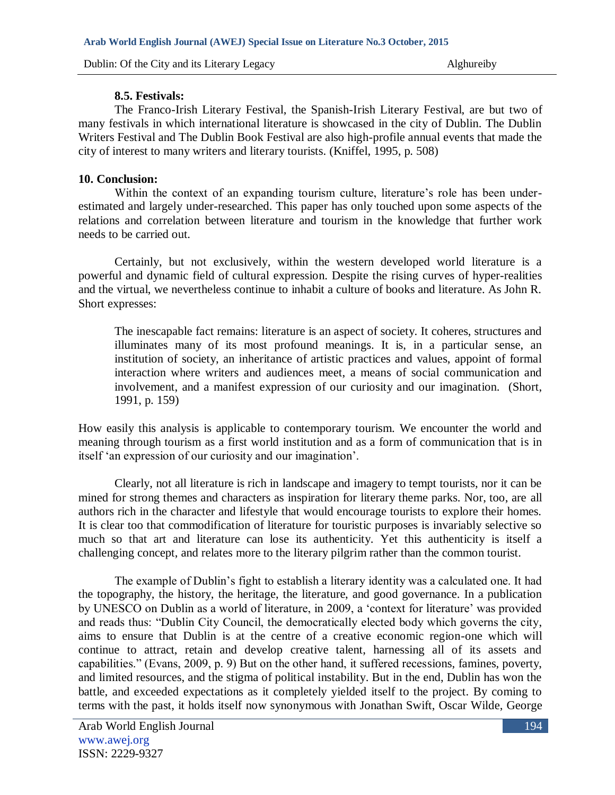## **8.5. Festivals:**

The Franco-Irish Literary Festival, the Spanish-Irish Literary Festival, are but two of many festivals in which international literature is showcased in the city of Dublin. The Dublin Writers Festival and The Dublin Book Festival are also high-profile annual events that made the city of interest to many writers and literary tourists. (Kniffel, 1995, p. 508)

## **10. Conclusion:**

Within the context of an expanding tourism culture, literature's role has been underestimated and largely under-researched. This paper has only touched upon some aspects of the relations and correlation between literature and tourism in the knowledge that further work needs to be carried out.

Certainly, but not exclusively, within the western developed world literature is a powerful and dynamic field of cultural expression. Despite the rising curves of hyper-realities and the virtual, we nevertheless continue to inhabit a culture of books and literature. As John R. Short expresses:

The inescapable fact remains: literature is an aspect of society. It coheres, structures and illuminates many of its most profound meanings. It is, in a particular sense, an institution of society, an inheritance of artistic practices and values, appoint of formal interaction where writers and audiences meet, a means of social communication and involvement, and a manifest expression of our curiosity and our imagination. (Short, 1991, p. 159)

How easily this analysis is applicable to contemporary tourism. We encounter the world and meaning through tourism as a first world institution and as a form of communication that is in itself "an expression of our curiosity and our imagination".

Clearly, not all literature is rich in landscape and imagery to tempt tourists, nor it can be mined for strong themes and characters as inspiration for literary theme parks. Nor, too, are all authors rich in the character and lifestyle that would encourage tourists to explore their homes. It is clear too that commodification of literature for touristic purposes is invariably selective so much so that art and literature can lose its authenticity. Yet this authenticity is itself a challenging concept, and relates more to the literary pilgrim rather than the common tourist.

The example of Dublin's fight to establish a literary identity was a calculated one. It had the topography, the history, the heritage, the literature, and good governance. In a publication by UNESCO on Dublin as a world of literature, in 2009, a "context for literature" was provided and reads thus: "Dublin City Council, the democratically elected body which governs the city, aims to ensure that Dublin is at the centre of a creative economic region-one which will continue to attract, retain and develop creative talent, harnessing all of its assets and capabilities." (Evans, 2009, p. 9) But on the other hand, it suffered recessions, famines, poverty, and limited resources, and the stigma of political instability. But in the end, Dublin has won the battle, and exceeded expectations as it completely yielded itself to the project. By coming to terms with the past, it holds itself now synonymous with Jonathan Swift, Oscar Wilde, George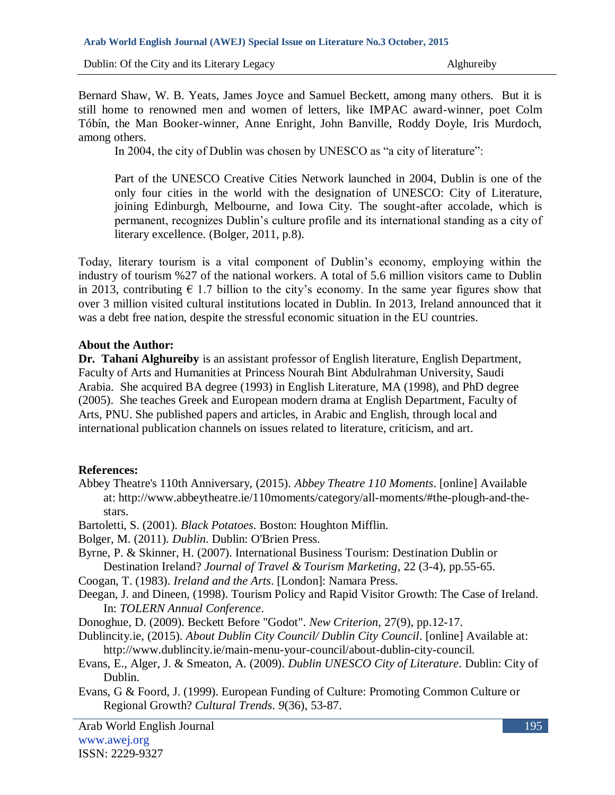Bernard Shaw, W. B. Yeats, James Joyce and Samuel Beckett, among many others. But it is still home to renowned men and women of letters, like IMPAC award-winner, poet Colm Tóbín, the Man Booker-winner, Anne Enright, John Banville, Roddy Doyle, Iris Murdoch, among others.

In 2004, the city of Dublin was chosen by UNESCO as "a city of literature":

Part of the UNESCO Creative Cities Network launched in 2004, Dublin is one of the only four cities in the world with the designation of UNESCO: City of Literature, joining Edinburgh, Melbourne, and Iowa City. The sought-after accolade, which is permanent, recognizes Dublin"s culture profile and its international standing as a city of literary excellence. (Bolger, 2011, p.8).

Today, literary tourism is a vital component of Dublin"s economy, employing within the industry of tourism %27 of the national workers. A total of 5.6 million visitors came to Dublin in 2013, contributing  $\epsilon$  1.7 billion to the city's economy. In the same year figures show that over 3 million visited cultural institutions located in Dublin. In 2013, Ireland announced that it was a debt free nation, despite the stressful economic situation in the EU countries.

### **About the Author:**

**Dr. Tahani Alghureiby** is an assistant professor of English literature, English Department, Faculty of Arts and Humanities at Princess Nourah Bint Abdulrahman University, Saudi Arabia. She acquired BA degree (1993) in English Literature, MA (1998), and PhD degree (2005). She teaches Greek and European modern drama at English Department, Faculty of Arts, PNU. She published papers and articles, in Arabic and English, through local and international publication channels on issues related to literature, criticism, and art.

# **References:**

Abbey Theatre's 110th Anniversary, (2015). *Abbey Theatre 110 Moments*. [online] Available at: http://www.abbeytheatre.ie/110moments/category/all-moments/#the-plough-and-thestars.

Bartoletti, S. (2001). *Black Potatoes*. Boston: Houghton Mifflin.

- Bolger, M. (2011). *Dublin*. Dublin: O'Brien Press.
- Byrne, P. & Skinner, H. (2007). International Business Tourism: Destination Dublin or Destination Ireland? *Journal of Travel & Tourism Marketing*, 22 (3-4), pp.55-65.
- Coogan, T. (1983). *Ireland and the Arts*. [London]: Namara Press.
- Deegan, J. and Dineen, (1998). Tourism Policy and Rapid Visitor Growth: The Case of Ireland. In: *TOLERN Annual Conference*.

Donoghue, D. (2009). Beckett Before "Godot". *New Criterion*, 27(9), pp.12-17.

Dublincity.ie, (2015). *About Dublin City Council/ Dublin City Council*. [online] Available at: http://www.dublincity.ie/main-menu-your-council/about-dublin-city-council.

- Evans, E., Alger, J. & Smeaton, A. (2009). *Dublin UNESCO City of Literature*. Dublin: City of Dublin.
- Evans, G & Foord, J. (1999). European Funding of Culture: Promoting Common Culture or Regional Growth? *Cultural Trends*. *9*(36), 53-87.